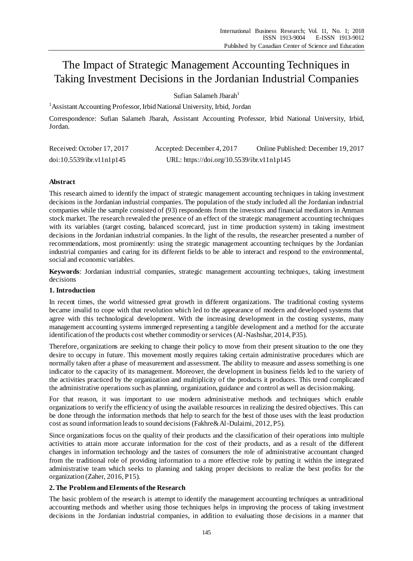# The Impact of Strategic Management Accounting Techniques in Taking Investment Decisions in the Jordanian Industrial Companies

Sufian Salameh Jbarah<sup>1</sup>

<sup>1</sup> Assistant Accounting Professor, Irbid National University, Irbid, Jordan

Correspondence: Sufian Salameh Jbarah, Assistant Accounting Professor, Irbid National University, Irbid, Jordan.

| Received: October 17, 2017 | Accepted: December 4, 2017                 | Online Published: December 19, 2017 |
|----------------------------|--------------------------------------------|-------------------------------------|
| doi:10.5539/ibr.v11nlp145  | URL: https://doi.org/10.5539/ibr.v11n1p145 |                                     |

# **Abstract**

This research aimed to identify the impact of strategic management accounting techniques in taking investment decisions in the Jordanian industrial companies. The population of the study included all the Jordanian industrial companies while the sample consisted of (93) respondents from the investors and financial mediators in Amman stock market. The research revealed the presence of an effect of the strategic management accounting techniques with its variables (target costing, balanced scorecard, just in time production system) in taking investment decisions in the Jordanian industrial companies. In the light of the results, the researcher presented a number of recommendations, most prominently: using the strategic management accounting techniques by the Jordanian industrial companies and caring for its different fields to be able to interact and respond to the environmental, social and economic variables.

**Keywords**: Jordanian industrial companies, strategic management accounting techniques, taking investment decisions

## **1. Introduction**

In recent times, the world witnessed great growth in different organizations. The traditional costing systems became invalid to cope with that revolution which led to the appearance of modern and developed systems that agree with this technological development. With the increasing development in the costing systems, many management accounting systems immerged representing a tangible development and a method for the accurate identification of the products cost whether commodity or services (Al-Nashshar, 2014, P35).

Therefore, organizations are seeking to change their policy to move from their present situation to the one they desire to occupy in future. This movement mostly requires taking certain administrative procedures which are normally taken after a phase of measurement and assessment. The ability to measure and assess something is one indicator to the capacity of its management. Moreover, the development in business fields led to the variety of the activities practiced by the organization and multiplicity of the products it produces. This trend complicated the administrative operations such as planning, organization, guidance and control as well as decision making.

For that reason, it was important to use modern administrative methods and techniques which enable organizations to verify the efficiency of using the available resources in realizing the desired objectives. This can be done through the information methods that help to search for the best of those uses with the least production cost as sound information leads to sound decisions (Fakhre& Al-Dulaimi, 2012, P5).

Since organizations focus on the quality of their products and the classification of their operations into multiple activities to attain more accurate information for the cost of their products, and as a result of the different changes in information technology and the tastes of consumers the role of administrative accountant changed from the traditional role of providing information to a more effective role by putting it within the integrated administrative team which seeks to planning and taking proper decisions to realize the best profits for the organization (Zaher, 2016, P15).

## **2.The Problem and Elements ofthe Research**

The basic problem of the research is attempt to identify the management accounting techniques as untraditional accounting methods and whether using those techniques helps in improving the process of taking investment decisions in the Jordanian industrial companies, in addition to evaluating those decisions in a manner that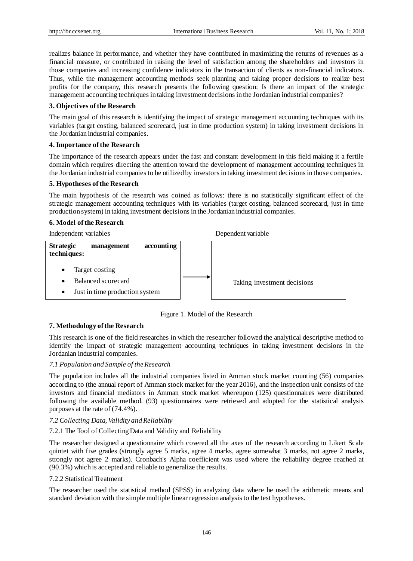realizes balance in performance, and whether they have contributed in maximizing the returns of revenues as a financial measure, or contributed in raising the level of satisfaction among the shareholders and investors in those companies and increasing confidence indicators in the transaction of clients as non-financial indicators. Thus, while the management accounting methods seek planning and taking proper decisions to realize best profits for the company, this research presents the following question: Is there an impact of the strategic management accounting techniques in taking investment decisions in the Jordanian industrial companies?

## **3. Objectives of the Research**

The main goal of this research is identifying the impact of strategic management accounting techniques with its variables (target costing, balanced scorecard, just in time production system) in taking investment decisions in the Jordanian industrial companies.

## **4. Importance of the Research**

The importance of the research appears under the fast and constant development in this field making it a fertile domain which requires directing the attention toward the development of management accounting techniques in the Jordanian industrial companies to be utilized by investors in taking investment decisions in those companies.

## **5. Hypotheses of the Research**

The main hypothesis of the research was coined as follows: there is no statistically significant effect of the strategic management accounting techniques with its variables (target costing, balanced scorecard, just in time production system) in taking investment decisions in the Jordanian industrial companies.

## **6. Model of the Research**

Independent variables Dependent variable



Figure 1. Model of the Research

## **7. Methodology of the Research**

This research is one of the field researches in which the researcher followed the analytical descriptive method to identify the impact of strategic management accounting techniques in taking investment decisions in the Jordanian industrial companies.

#### *7.1 Population and Sample of the Research*

The population includes all the industrial companies listed in Amman stock market counting (56) companies according to (the annual report of Amman stock market for the year 2016), and the inspection unit consists of the investors and financial mediators in Amman stock market whereupon (125) questionnaires were distributed following the available method. (93) questionnaires were retrieved and adopted for the statistical analysis purposes at the rate of (74.4%).

#### *7.2 Collecting Data, Validity and Reliability*

# 7.2.1 The Tool of Collecting Data and Validity and Reliability

The researcher designed a questionnaire which covered all the axes of the research according to Likert Scale quintet with five grades (strongly agree 5 marks, agree 4 marks, agree somewhat 3 marks, not agree 2 marks, strongly not agree 2 marks). Cronbach's Alpha coefficient was used where the reliability degree reached at (90.3%) which is accepted and reliable to generalize the results.

#### 7.2.2 Statistical Treatment

The researcher used the statistical method (SPSS) in analyzing data where he used the arithmetic means and standard deviation with the simple multiple linear regression analysis to the test hypotheses.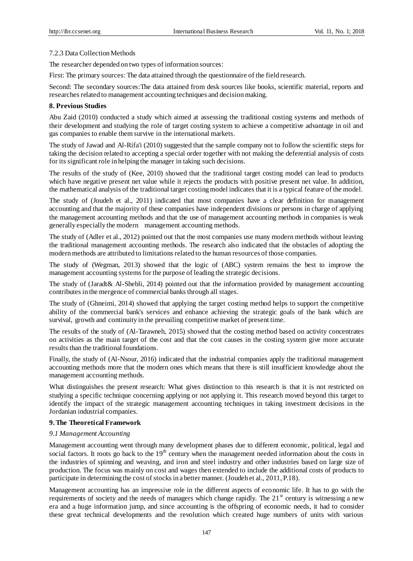## 7.2.3 Data Collection Methods

The researcher depended on two types of information sources:

First: The primary sources: The data attained through the questionnaire of the field research.

Second: The secondary sources:The data attained from desk sources like books, scientific material, reports and researches related to management accounting techniques and decision making.

## **8. Previous Studies**

Abu Zaid (2010) conducted a study which aimed at assessing the traditional costing systems and methods of their development and studying the role of target costing system to achieve a competitive advantage in oil and gas companies to enable them survive in the international markets.

The study of Jawad and Al-Rifa'i (2010) suggested that the sample company not to follow the scientific steps for taking the decision related to accepting a special order together with not making the deferential analysis of costs for its significant role in helping the manager in taking such decisions.

The results of the study of (Kee, 2010) showed that the traditional target costing model can lead to products which have negative present net value while it rejects the products with positive present net value. In addition, the mathematical analysis of the traditional target costing model indicates that it is a typical feature of the model.

The study of (Joudeh et al., 2011) indicated that most companies have a clear definition for management accounting and that the majority of these companies have independent divisions or persons in charge of applying the management accounting methods and that the use of management accounting methods in companies is weak generally especially the modern management accounting methods.

The study of (Adler et al., 2012) pointed out that the most companies use many modern methods without leaving the traditional management accounting methods. The research also indicated that the obstacles of adopting the modern methods are attributed to limitations related to the human resources of those companies.

The study of (Wegman, 2013) showed that the logic of (ABC) system remains the best to improve the management accounting systems for the purpose of leading the strategic decisions.

The study of (Jaradt& Al-Shebli, 2014) pointed out that the information provided by management accounting contributes in the mergence of commercial banks through all stages.

The study of (Ghneimi, 2014) showed that applying the target costing method helps to support the competitive ability of the commercial bank's services and enhance achieving the strategic goals of the bank which are survival, growth and continuity in the prevailing competitive market of present time.

The results of the study of (Al-Tarawneh, 2015) showed that the costing method based on activity concentrates on activities as the main target of the cost and that the cost causes in the costing system give more accurate results than the traditional foundations.

Finally, the study of (Al-Nsour, 2016) indicated that the industrial companies apply the traditional management accounting methods more that the modern ones which means that there is still insufficient knowledge about the management accounting methods.

What distinguishes the present research: What gives distinction to this research is that it is not restricted on studying a specific technique concerning applying or not applying it. This research moved beyond this target to identify the impact of the strategic management accounting techniques in taking investment decisions in the Jordanian industrial companies.

## **9. The Theoretical Framework**

## *9.1 Management Accounting*

Management accounting went through many development phases due to different economic, political, legal and social factors. It roots go back to the 19<sup>th</sup> century when the management needed information about the costs in the industries of spinning and weaving, and iron and steel industry and other industries based on large size of production. The focus was mainly on cost and wages then extended to include the additional costs of products to participate in determining the cost of stocks in a better manner. (Joudeh et al., 2011, P.18).

Management accounting has an impressive role in the different aspects of economic life. It has to go with the requirements of society and the needs of managers which change rapidly. The 21 $^{\rm st}$  century is witnessing a new era and a huge information jump, and since accounting is the offspring of economic needs, it had to consider these great technical developments and the revolution which created huge numbers of units with various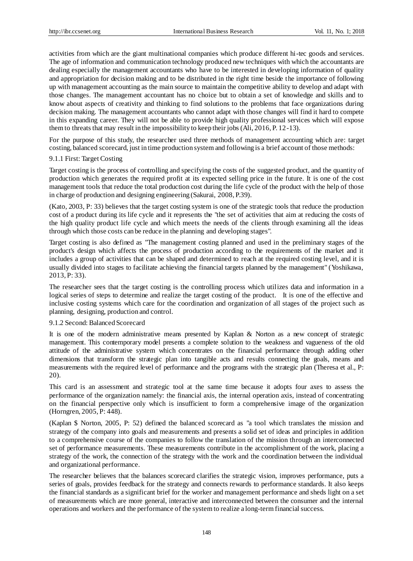activities from which are the giant multinational companies which produce different hi-tec goods and services. The age of information and communication technology produced new techniques with which the accountants are dealing especially the management accountants who have to be interested in developing information of quality and appropriation for decision making and to be distributed in the right time beside the importance of following up with management accounting as the main source to maintain the competitive ability to develop and adapt with those changes. The management accountant has no choice but to obtain a set of knowledge and skills and to know about aspects of creativity and thinking to find solutions to the problems that face organizations during decision making. The management accountants who cannot adapt with those changes will find it hard to compete in this expanding career. They will not be able to provide high quality professional services which will expose them to threats that may result in the impossibility to keep their jobs (Ali, 2016, P. 12-13).

For the purpose of this study, the researcher used three methods of management accounting which are: target costing, balanced scorecard, just in time production system and following is a brief account of those methods:

#### 9.1.1 First: Target Costing

Target costing is the process of controlling and specifying the costs of the suggested product, and the quantity of production which generates the required profit at its expected selling price in the future. It is one of the cost management tools that reduce the total production cost during the life cycle of the product with the help of those in charge of production and designing engineering (Sakurai, 2008, P.39).

(Kato, 2003, P: 33) believes that the target costing system is one of the strategic tools that reduce the production cost of a product during its life cycle and it represents the "the set of activities that aim at reducing the costs of the high quality product life cycle and which meets the needs of the clients through examining all the ideas through which those costs can be reduce in the planning and developing stages".

Target costing is also defined as "The management costing planned and used in the preliminary stages of the product's design which affects the process of production according to the requirements of the market and it includes a group of activities that can be shaped and determined to reach at the required costing level, and it is usually divided into stages to facilitate achieving the financial targets planned by the management" (Yoshikawa, 2013, P: 33).

The researcher sees that the target costing is the controlling process which utilizes data and information in a logical series of steps to determine and realize the target costing of the product. It is one of the effective and inclusive costing systems which care for the coordination and organization of all stages of the project such as planning, designing, production and control.

#### 9.1.2 Second: Balanced Scorecard

It is one of the modern administrative means presented by Kaplan & Norton as a new concept of strategic management. This contemporary model presents a complete solution to the weakness and vagueness of the old attitude of the administrative system which concentrates on the financial performance through adding other dimensions that transform the strategic plan into tangible acts and results connecting the goals, means and measurements with the required level of performance and the programs with the strategic plan (Theresa et al., P: 20).

This card is an assessment and strategic tool at the same time because it adopts four axes to assess the performance of the organization namely: the financial axis, the internal operation axis, instead of concentrating on the financial perspective only which is insufficient to form a comprehensive image of the organization (Horngren, 2005, P: 448).

(Kaplan \$ Norton, 2005, P: 52) defined the balanced scorecard as "a tool which translates the mission and strategy of the company into goals and measurements and presents a solid set of ideas and principles in addition to a comprehensive course of the companies to follow the translation of the mission through an interconnected set of performance measurements. These measurements contribute in the accomplishment of the work, placing a strategy of the work, the connection of the strategy with the work and the coordination between the individual and organizational performance.

The researcher believes that the balances scorecard clarifies the strategic vision, improves performance, puts a series of goals, provides feedback for the strategy and connects rewards to performance standards. It also keeps the financial standards as a significant brief for the worker and management performance and sheds light on a set of measurements which are more general, interactive and interconnected between the consumer and the internal operations and workers and the performance of the system to realize a long-term financial success.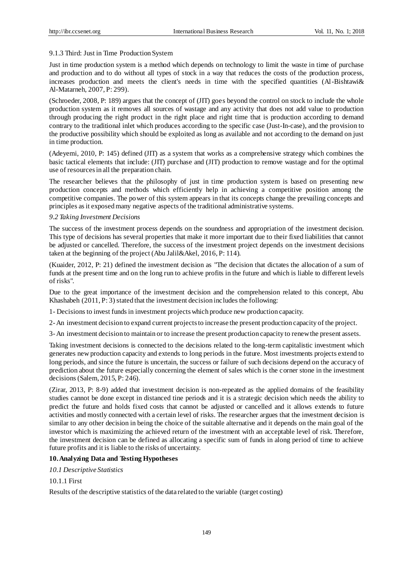#### 9.1.3 Third: Just in Time Production System

Just in time production system is a method which depends on technology to limit the waste in time of purchase and production and to do without all types of stock in a way that reduces the costs of the production process, increases production and meets the client's needs in time with the specified quantities (Al-Bishtawi& Al-Matarneh, 2007, P: 299).

(Schroeder, 2008, P: 189) argues that the concept of (JIT) goes beyond the control on stock to include the whole production system as it removes all sources of wastage and any activity that does not add value to production through producing the right product in the right place and right time that is production according to demand contrary to the traditional inlet which produces according to the specific case (Just-In-case), and the provision to the productive possibility which should be exploited as long as available and not according to the demand on just in time production.

(Adeyemi, 2010, P: 145) defined (JIT) as a system that works as a comprehensive strategy which combines the basic tactical elements that include: (JIT) purchase and (JIT) production to remove wastage and for the optimal use of resources in all the preparation chain.

The researcher believes that the philosophy of just in time production system is based on presenting new production concepts and methods which efficiently help in achieving a competitive position among the competitive companies. The power of this system appears in that its concepts change the prevailing concepts and principles as it exposed many negative aspects of the traditional administrative systems.

#### *9.2 Taking Investment Decisions*

The success of the investment process depends on the soundness and appropriation of the investment decision. This type of decisions has several properties that make it more important due to their fixed liabilities that cannot be adjusted or cancelled. Therefore, the success of the investment project depends on the investment decisions taken at the beginning of the project (Abu Jalil&Akel, 2016, P: 114).

(Kuaider, 2012, P: 21) defined the investment decision as "The decision that dictates the allocation of a sum of funds at the present time and on the long run to achieve profits in the future and which is liable to different levels of risks".

Due to the great importance of the investment decision and the comprehension related to this concept, Abu Khashabeh (2011, P: 3) stated that the investment decision includes the following:

1- Decisions to invest funds in investment projects which produce new production capacity.

2-An investment decision to expand current projects to increase the present production capacity of the project.

3-An investment decision to maintain or to increase the present production capacity to renew the present assets.

Taking investment decisions is connected to the decisions related to the long-term capitalistic investment which generates new production capacity and extends to long periods in the future. Most investments projects extend to long periods, and since the future is uncertain, the success or failure of such decisions depend on the accuracy of prediction about the future especially concerning the element of sales which is the corner stone in the investment decisions (Salem, 2015, P: 246).

(Zirar, 2013, P: 8-9) added that investment decision is non-repeated as the applied domains of the feasibility studies cannot be done except in distanced tine periods and it is a strategic decision which needs the ability to predict the future and holds fixed costs that cannot be adjusted or cancelled and it allows extends to future activities and mostly connected with a certain level of risks. The researcher argues that the investment decision is similar to any other decision in being the choice of the suitable alternative and it depends on the main goal of the investor which is maximizing the achieved return of the investment with an acceptable level of risk. Therefore, the investment decision can be defined as allocating a specific sum of funds in along period of time to achieve future profits and it is liable to the risks of uncertainty.

## **10. Analyzing Data and Testing Hypotheses**

## *10.1 Descriptive Statistics*

10.1.1 First

Results of the descriptive statistics of the data related to the variable (target costing)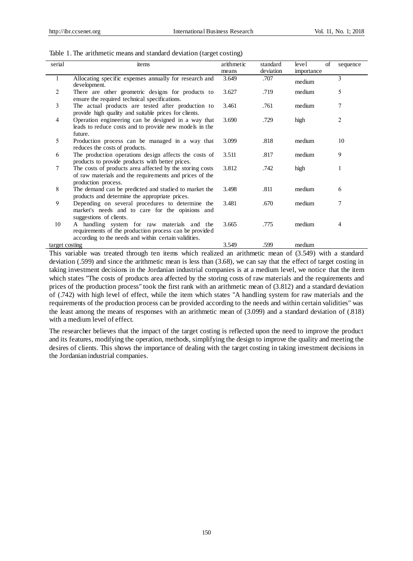Table 1. The arithmetic means and standard deviation (target costing)

| serial         | items                                                                                                                                                          | arithmetic | standard  | level<br>of | sequence |
|----------------|----------------------------------------------------------------------------------------------------------------------------------------------------------------|------------|-----------|-------------|----------|
|                |                                                                                                                                                                | means      | deviation | importance  |          |
| 1              | Allocating specific expenses annually for research and<br>development.                                                                                         | 3.649      | .707      | medium      | 3        |
| 2              | There are other geometric designs for products to<br>ensure the required technical specifications.                                                             | 3.627      | .719      | medium      | 5        |
| 3              | The actual products are tested after production to<br>provide high quality and suitable prices for clients.                                                    | 3.461      | .761      | medium      | 7        |
| 4              | Operation engineering can be designed in a way that<br>leads to reduce costs and to provide new models in the<br>future.                                       | 3.690      | .729      | high        | 2        |
| 5              | Production process can be managed in a way that<br>reduces the costs of products.                                                                              | 3.099      | .818      | medium      | 10       |
| 6              | The production operations design affects the costs of<br>products to provide products with better prices.                                                      | 3.511      | .817      | medium      | 9        |
| 7              | The costs of products area affected by the storing costs<br>of raw materials and the requirements and prices of the<br>production process.                     | 3.812      | .742      | high        | 1        |
| 8              | The demand can be predicted and studied to market the<br>products and determine the appropriate prices.                                                        | 3.498      | .811      | medium      | 6        |
| 9              | Depending on several procedures to determine the<br>market's needs and to care for the opinions and<br>suggestions of clients.                                 | 3.481      | .670      | medium      | 7        |
| 10             | A handling system for raw materials and the<br>requirements of the production process can be provided<br>according to the needs and within certain validities. | 3.665      | .775      | medium      | 4        |
| target costing |                                                                                                                                                                | 3.549      | .599      | medium      |          |
|                | This conjekts are togeted through the items which realized an orithmetic mean of (2,540) with a standard                                                       |            |           |             |          |

This variable was treated through ten items which realized an arithmetic mean of (3.549) with a standard deviation (.599) and since the arithmetic mean is less than (3.68), we can say that the effect of target costing in taking investment decisions in the Jordanian industrial companies is at a medium level, we notice that the item which states "The costs of products area affected by the storing costs of raw materials and the requirements and prices of the production process" took the first rank with an arithmetic mean of (3.812) and a standard deviation of (.742) with high level of effect, while the item which states "A handling system for raw materials and the requirements of the production process can be provided according to the needs and within certain validities" was the least among the means of responses with an arithmetic mean of (3.099) and a standard deviation of (.818) with a medium level of effect.

The researcher believes that the impact of the target costing is reflected upon the need to improve the product and its features, modifying the operation, methods, simplifying the design to improve the quality and meeting the desires of clients. This shows the importance of dealing with the target costing in taking investment decisions in the Jordanian industrial companies.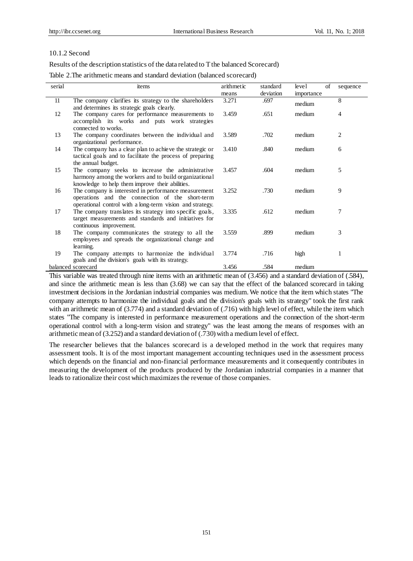#### 10.1.2 Second

Results of the description statistics of the data related to T the balanced Scorecard)

Table 2.The arithmetic means and standard deviation (balanced scorecard)

| serial | items                                                                                                                                                                | arithmetic | standard  | of<br>level | sequence |
|--------|----------------------------------------------------------------------------------------------------------------------------------------------------------------------|------------|-----------|-------------|----------|
|        |                                                                                                                                                                      | means      | deviation | importance  |          |
| 11     | The company clarifies its strategy to the shareholders<br>and determines its strategic goals clearly.                                                                | 3.271      | .697      | medium      | 8        |
| 12     | The company cares for performance measurements to<br>accomplish its works and puts work strategies<br>connected to works.                                            | 3.459      | .651      | medium      | 4        |
| 13     | The company coordinates between the individual and<br>organizational performance.                                                                                    | 3.589      | .702      | medium      | 2        |
| 14     | The company has a clear plan to achieve the strategic or<br>tactical goals and to facilitate the process of preparing<br>the annual budget.                          | 3.410      | .840      | medium      | 6        |
| 15     | The company seeks to increase the administrative<br>harmony among the workers and to build organizational<br>knowledge to help them improve their abilities.         | 3.457      | .604      | medium      | 5        |
| 16     | The company is interested in performance measurement<br>operations and the connection of the short-term<br>operational control with a long-term vision and strategy. | 3.252      | .730      | medium      | 9        |
| 17     | The company translates its strategy into specific goals,<br>target measurements and standards and initiatives for<br>continuous improvement.                         | 3.335      | .612      | medium      | 7        |
| 18     | The company communicates the strategy to all the<br>employees and spreads the organizational change and<br>learning.                                                 | 3.559      | .899      | medium      | 3        |
| 19     | The company attempts to harmonize the individual<br>goals and the division's goals with its strategy.                                                                | 3.774      | .716      | high        | 1        |
|        | balanced scorecard                                                                                                                                                   | 3.456      | .584      | medium      |          |

This variable was treated through nine items with an arithmetic mean of (3.456) and a standard deviation of (.584), and since the arithmetic mean is less than (3.68) we can say that the effect of the balanced scorecard in taking investment decisions in the Jordanian industrial companies was medium. We notice that the item which states "The company attempts to harmonize the individual goals and the division's goals with its strategy" took the first rank with an arithmetic mean of  $(3.774)$  and a standard deviation of  $(0.716)$  with high level of effect, while the item which states "The company is interested in performance measurement operations and the connection of the short-term operational control with a long-term vision and strategy" was the least among the means of responses with an arithmetic mean of (3.252) and a standard deviation of (.730) with a medium level of effect.

The researcher believes that the balances scorecard is a developed method in the work that requires many assessment tools. It is of the most important management accounting techniques used in the assessment process which depends on the financial and non-financial performance measurements and it consequently contributes in measuring the development of the products produced by the Jordanian industrial companies in a manner that leads to rationalize their cost which maximizes the revenue of those companies.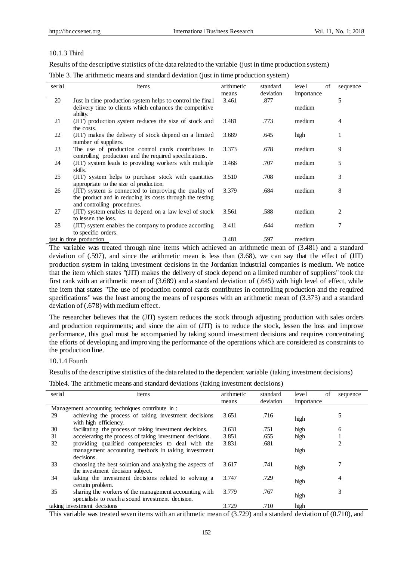### 10.1.3 Third

Results of the descriptive statistics of the data related to the variable (just in time production system)

Table 3. The arithmetic means and standard deviation (just in time production system)

| serial | items                                                                                                                                             | arithmetic | standard  | of<br>level | sequence       |
|--------|---------------------------------------------------------------------------------------------------------------------------------------------------|------------|-----------|-------------|----------------|
|        |                                                                                                                                                   | means      | deviation | importance  |                |
| 20     | Just in time production system helps to control the final                                                                                         | 3.461      | .877      |             | 5              |
|        | delivery time to clients which enhances the competitive<br>ability.                                                                               |            |           | medium      |                |
| 21     | (JIT) production system reduces the size of stock and<br>the costs.                                                                               | 3.481      | .773      | medium      | 4              |
| 22     | (JIT) makes the delivery of stock depend on a limited<br>number of suppliers.                                                                     | 3.689      | .645      | high        |                |
| 23     | The use of production control cards contributes in<br>controlling production and the required specifications.                                     | 3.373      | .678      | medium      | 9              |
| 24     | (JIT) system leads to providing workers with multiple<br>skills.                                                                                  | 3.466      | .707      | medium      | 5              |
| 25     | (JIT) system helps to purchase stock with quantities<br>appropriate to the size of production.                                                    | 3.510      | .708      | medium      | 3              |
| 26     | (JIT) system is connected to improving the quality of<br>the product and in reducing its costs through the testing<br>and controlling procedures. | 3.379      | .684      | medium      | 8              |
| 27     | (JIT) system enables to depend on a law level of stock<br>to lessen the loss.                                                                     | 3.561      | .588      | medium      | $\overline{c}$ |
| 28     | (JIT) system enables the company to produce according<br>to specific orders.                                                                      | 3.411      | .644      | medium      |                |
|        | just in time production                                                                                                                           | 3.481      | .597      | medium      |                |

The variable was treated through nine items which achieved an arithmetic mean of (3.481) and a standard deviation of (.597), and since the arithmetic mean is less than (3.68), we can say that the effect of (JIT) production system in taking investment decisions in the Jordanian industrial companies is medium. We notice that the item which states "(JIT) makes the delivery of stock depend on a limited number of suppliers" took the first rank with an arithmetic mean of (3.689) and a standard deviation of (.645) with high level of effect, while the item that states "The use of production control cards contributes in controlling production and the required specifications" was the least among the means of responses with an arithmetic mean of (3.373) and a standard deviation of (.678) with medium effect.

The researcher believes that the (JIT) system reduces the stock through adjusting production with sales orders and production requirements; and since the aim of (JIT) is to reduce the stock, lessen the loss and improve performance, this goal must be accompanied by taking sound investment decisions and requires concentrating the efforts of developing and improving the performance of the operations which are considered as constraints to the production line.

# 10.1.4 Fourth

Results of the descriptive statistics of the data related to the dependent variable (taking investment decisions)

| Table4. The arithmetic means and standard deviations (taking investment decisions) |  |  |
|------------------------------------------------------------------------------------|--|--|
|------------------------------------------------------------------------------------|--|--|

| serial | items                                                                                                      | arithmetic<br>means | standard<br>deviation | of<br>level<br>importance | sequence       |
|--------|------------------------------------------------------------------------------------------------------------|---------------------|-----------------------|---------------------------|----------------|
|        | Management accounting techniques contribute in :                                                           |                     |                       |                           |                |
| 29     | achieving the process of taking investment decisions<br>with high efficiency.                              | 3.651               | .716                  | high                      |                |
| 30     | facilitating the process of taking investment decisions.                                                   | 3.631               | .751                  | high                      | 6              |
| 31     | accelerating the process of taking investment decisions.                                                   | 3.851               | .655                  | high                      |                |
| 32     | providing qualified competencies to deal with the                                                          | 3.831               | .681                  |                           | $\overline{c}$ |
|        | management accounting methods in taking investment<br>decisions.                                           |                     |                       | high                      |                |
| 33     | choosing the best solution and analyzing the aspects of<br>the investment decision subject.                | 3.617               | .741                  | high                      |                |
| 34     | taking the investment decisions related to solving a<br>certain problem.                                   | 3.747               | .729                  | high                      | 4              |
| 35     | sharing the workers of the management accounting with<br>specialists to reach a sound investment decision. | 3.779               | .767                  | high                      | 3              |
|        | taking investment decisions                                                                                | 3.729               | .710                  | high                      |                |

This variable was treated seven items with an arithmetic mean of (3.729) and a standard deviation of (0.710), and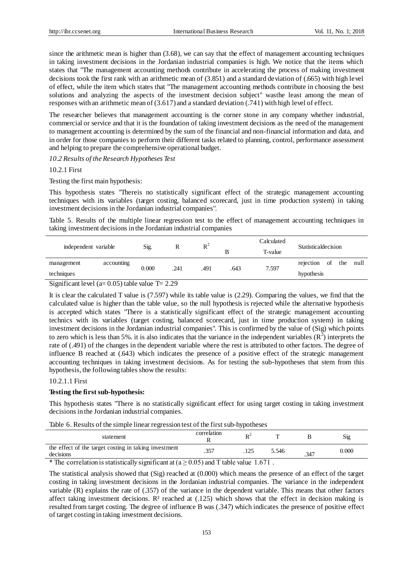since the arithmetic mean is higher than  $(3.68)$ , we can say that the effect of management accounting techniques in taking investment decisions in the Jordanian industrial companies is high. We notice that the items which states that "The management accounting methods contribute in accelerating the process of making investment decisions took the first rank with an arithmetic mean of (3.851) and a standard deviation of (.665) with high level of effect, while the item which states that "The management accounting methods contribute in choosing the best solutions and analyzing the aspects of the investment decision subject" wasthe least among the mean of responses with an arithmetic mean of (3.617) and a standard deviation (.741) with high level of effect.

The researcher believes that management accounting is the corner stone in any company whether industrial, commercial or service and that it is the foundation of taking investment decisions as the need of the management to management accounting is determined by the sum of the financial and non-financial information and data, and in order for those companies to perform their different tasks related to planning, control, performance assessment and helping to prepare the comprehensive operational budget.

*10.2 Results of the Research Hypotheses Test*

#### 10.2.1 First

Testing the first main hypothesis:

This hypothesis states "Thereis no statistically significant effect of the strategic management accounting techniques with its variables (target costing, balanced scorecard, just in time production system) in taking investment decisions in the Jordanian industrial companies".

Table 5. Results of the multiple linear regression test to the effect of management accounting techniques in taking investment decisions in the Jordanian industrial companies

| independent variable |            | Sig.  | R    | $R^2$ |      | Calculated<br>T-value | Statistical decision  |
|----------------------|------------|-------|------|-------|------|-----------------------|-----------------------|
| management           | accounting | 0.000 | .241 | .491  | .643 | 7.597                 | rejection of the null |
| techniques           |            |       |      |       |      |                       | hypothesis            |
|                      |            |       |      |       |      |                       |                       |

Significant level ( $a= 0.05$ ) table value T= 2.29

It is clear the calculated T value is (7.597) while its table value is (2.29). Comparing the values, we find that the calculated value is higher than the table value, so the null hypothesis is rejected while the alternative hypothesis is accepted which states "There is a statistically significant effect of the strategic management accounting technics with its variables (target costing, balanced scorecard, just in time production system) in taking investment decisions in the Jordanian industrial companies". This is confirmed by the value of (Sig) which points to zero which is less than 5%, it is also indicates that the variance in the independent variables  $(R^2)$  interprets the rate of (.491) of the changes in the dependent variable where the rest is attributed to other factors. The degree of influence B reached at (.643) which indicates the presence of a positive effect of the strategic management accounting techniques in taking investment decisions. As for testing the sub-hypotheses that stem from this hypothesis, the following tables show the results:

#### 10.2.1.1 First

#### **Testing the first sub-hypothesis:**

This hypothesis states "There is no statistically significant effect for using target costing in taking investment decisions in the Jordanian industrial companies.

|  | Table 6. Results of the simple linear regression test of the first sub-hypotheses |
|--|-----------------------------------------------------------------------------------|
|  |                                                                                   |

|                                                                    |              | - - |       |      |           |
|--------------------------------------------------------------------|--------------|-----|-------|------|-----------|
| statement                                                          | correlation  | D.  | ᠇᠇    |      | Sig       |
| the effect of the target costing in taking investment<br>decisions | つよつ<br>. . ټ | ے ل | 5.546 | .347 | $0.000\,$ |

\* The correlation is statistically significant at ( $a \ge 0.05$ ) and T table value 1.671.

The statistical analysis showed that (Sig) reached at (0.000) which means the presence of an effect of the target costing in taking investment decisions in the Jordanian industrial companies. The variance in the independent variable  $(R)$  explains the rate of  $(357)$  of the variance in the dependent variable. This means that other factors affect taking investment decisions. R<sup>2</sup> reached at  $(.125)$  which shows that the effect in decision making is resulted from target costing. The degree of influence B was (.347) which indicates the presence of positive effect of target costing in taking investment decisions.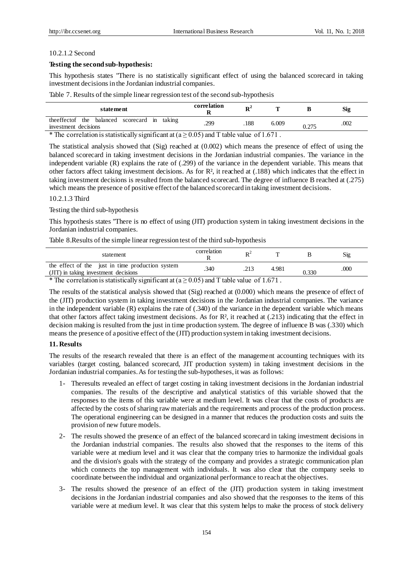## 10.2.1.2 Second

## **Testing the second sub-hypothesis:**

This hypothesis states "There is no statistically significant effect of using the balanced scorecard in taking investment decisions in the Jordanian industrial companies.

Table 7. Results of the simple linear regression test of the second sub-hypothesis

| statement                                         | correlation | m-  |         |       | Sig  |
|---------------------------------------------------|-------------|-----|---------|-------|------|
| the effect of the<br>balanced scorecard in taking | .299        | 188 | 6.009   |       | .002 |
| investment decisions                              |             |     |         | 0.275 |      |
| $\sim$ and $\sim$                                 |             |     | 0.17771 |       |      |

\* The correlation is statistically significant at ( $a \ge 0.05$ ) and T table value of 1.671.

The statistical analysis showed that (Sig) reached at (0.002) which means the presence of effect of using the balanced scorecard in taking investment decisions in the Jordanian industrial companies. The variance in the independent variable (R) explains the rate of (.299) of the variance in the dependent variable. This means that other factors affect taking investment decisions. As for  $R_1^2$  it reached at (.188) which indicates that the effect in taking investment decisions is resulted from the balanced scorecard. The degree of influence B reached at (.275) which means the presence of positive effect of the balanced scorecard in taking investment decisions.

# 10.2.1.3 Third

Testing the third sub-hypothesis

This hypothesis states "There is no effect of using (JIT) production system in taking investment decisions in the Jordanian industrial companies.

Table 8.Results of the simple linear regression test of the third sub-hypothesis

| statement                                                                                        |       |       | Sig  |
|--------------------------------------------------------------------------------------------------|-------|-------|------|
| the effect of the just in time production system<br>.340<br>(JIT) in taking investment decisions | 4.981 | 0.330 | .000 |
|                                                                                                  |       |       |      |

\* The correlation is statistically significant at ( $a \ge 0.05$ ) and T table value of 1.671.

The results of the statistical analysis showed that (Sig) reached at (0.000) which means the presence of effect of the (JIT) production system in taking investment decisions in the Jordanian industrial companies. The variance in the independent variable (R) explains the rate of (.340) of the variance in the dependent variable which means that other factors affect taking investment decisions. As for  $R_1$ <sup>2</sup> it reached at (.213) indicating that the effect in decision making is resulted from the just in time production system. The degree of influence B was (.330) which means the presence of a positive effect of the (JIT) production system in taking investment decisions.

# **11. Results**

The results of the research revealed that there is an effect of the management accounting techniques with its variables (target costing, balanced scorecard, JIT production system) in taking investment decisions in the Jordanian industrial companies. As for testing the sub-hypotheses, it was as follows:

- 1- Theresults revealed an effect of target costing in taking investment decisions in the Jordanian industrial companies. The results of the descriptive and analytical statistics of this variable showed that the responses to the items of this variable were at medium level. It was clear that the costs of products are affected by the costs of sharing raw materials and the requirements and process of the production process. The operational engineering can be designed in a manner that reduces the production costs and suits the provision of new future models.
- 2- The results showed the presence of an effect of the balanced scorecard in taking investment decisions in the Jordanian industrial companies. The results also showed that the responses to the items of this variable were at medium level and it was clear that the company tries to harmonize the individual goals and the division's goals with the strategy of the company and provides a strategic communication plan which connects the top management with individuals. It was also clear that the company seeks to coordinate between the individual and organizational performance to reach at the objectives.
- 3- The results showed the presence of an effect of the (JIT) production system in taking investment decisions in the Jordanian industrial companies and also showed that the responses to the items of this variable were at medium level. It was clear that this system helps to make the process of stock delivery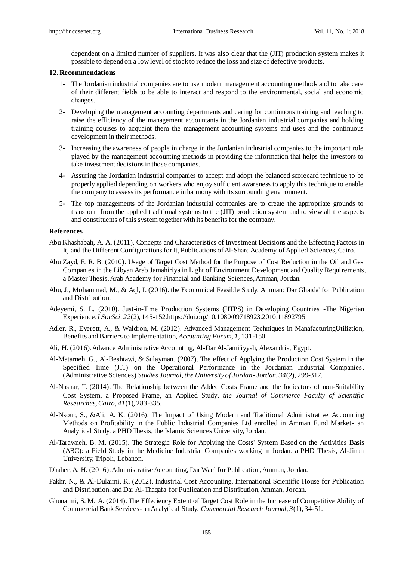dependent on a limited number of suppliers. It was also clear that the (JIT) production system makes it possible to depend on a low level of stock to reduce the loss and size of defective products.

# **12. Recommendations**

- 1- The Jordanian industrial companies are to use modern management accounting methods and to take care of their different fields to be able to interact and respond to the environmental, social and economic changes.
- 2- Developing the management accounting departments and caring for continuous training and teaching to raise the efficiency of the management accountants in the Jordanian industrial companies and holding training courses to acquaint them the management accounting systems and uses and the continuous development in their methods.
- 3- Increasing the awareness of people in charge in the Jordanian industrial companies to the important role played by the management accounting methods in providing the information that helps the investors to take investment decisions in those companies.
- 4- Assuring the Jordanian industrial companies to accept and adopt the balanced scorecard technique to be properly applied depending on workers who enjoy sufficient awareness to apply this technique to enable the company to assess its performance in harmony with its surrounding environment.
- 5- The top managements of the Jordanian industrial companies are to create the appropriate grounds to transform from the applied traditional systems to the (JIT) production system and to view all the aspects and constituents of this system together with its benefits for the company.

#### **References**

- Abu Khashabah, A. A. (2011). Concepts and Characteristics of Investment Decisions and the Effecting Factors in It, and the Different Configurations for It, Publications of Al-Sharq Academy of Applied Sciences, Cairo.
- Abu Zayd, F. R. B. (2010). Usage of Target Cost Method for the Purpose of Cost Reduction in the Oil and Gas Companies in the Libyan Arab Jamahiriya in Light of Environment Development and Quality Requirements, a Master Thesis, Arab Academy for Financial and Banking Sciences, Amman, Jordan.
- Abu, J., Mohammad, M., & Aql, I. (2016). the Economical Feasible Study. Amman: Dar Ghaida' for Publication and Distribution.
- Adeyemi, S. L. (2010). Just-in-Time Production Systems (JITPS) in Developing Countries -The Nigerian Experience.*J SocSci, 22*(2), 145-152.https://doi.org/10.1080/09718923.2010.11892795
- Adler, R., Everett, A., & Waldron, M. (2012). Advanced Management Techniques in ManafacturingUtiliztion, Benefits and Barriers to Implementation, *Accounting Forum, 1,* 131-150.
- Ali, H. (2016).Advance Administrative Accounting, Al-Dar Al-Jami'iyyah, Alexandria, Egypt.
- Al-Matarneh, G., Al-Beshtawi, & Sulayman. (2007). The effect of Applying the Production Cost System in the Specified Time (JIT) on the Operational Performance in the Jordanian Industrial Companies. (Administrative Sciences) *Studies Journal, the University of Jordan- Jordan, 34*(2), 299-317.
- Al-Nashar, T. (2014). The Relationship between the Added Costs Frame and the Indicators of non-Suitability Cost System, a Proposed Frame, an Applied Study. *the Journal of Commerce Faculty of Scientific Researches, Cairo, 41*(1), 283-335.
- Al-Nsour, S., &Ali, A. K. (2016). The Impact of Using Modern and Traditional Administrative Accounting Methods on Profitability in the Public Industrial Companies Ltd enrolled in Amman Fund Market- an Analytical Study. a PHD Thesis, the Islamic Sciences University, Jordan.
- Al-Tarawneh, B. M. (2015). The Strategic Role for Applying the Costs' System Based on the Activities Basis (ABC): a Field Study in the Medicine Industrial Companies working in Jordan. a PHD Thesis, Al-Jinan University, Tripoli, Lebanon.
- Dhaher, A. H. (2016). Administrative Accounting, Dar Wael for Publication, Amman, Jordan.
- Fakhr, N., & Al-Dulaimi, K. (2012). Industrial Cost Accounting, International Scientific House for Publication and Distribution, and Dar Al-Thaqafa for Publication and Distribution, Amman, Jordan.
- Ghunaimi, S. M. A. (2014). The Effeciency Extent of Target Cost Role in the Increase of Competitive Ability of Commercial Bank Services- an Analytical Study. *Commercial Research Journal, 3*(1), 34-51.